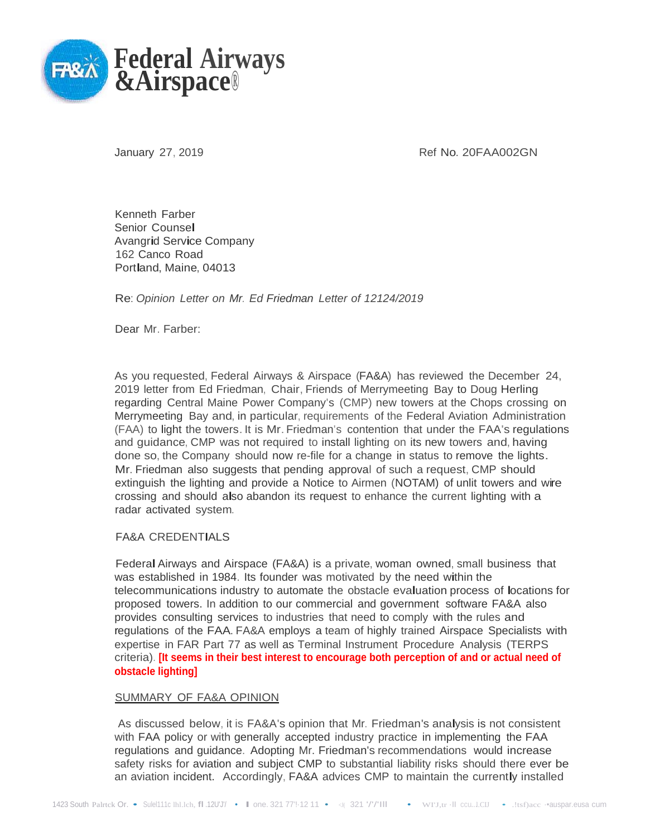

January 27, 2019 **Accord 2013** Ref No. 20FAA002GN

Kenneth Farber Senior Counsel Avangrid Service Company 162 Canco Road Portland, Maine, <sup>04013</sup>

Re: *Opinion Letter on Mr. Ed Friedman Letter of 12124/2019*

Dear Mr. Farber:

As you requested, Federal Airways & Airspace (FA&A) has reviewed the December 24, 2019 letter from Ed Friedman, Chair, Friends of Merrymeeting Bay to Doug Herling regarding Central Maine Power Company's (CMP) new towers at the Chops crossing on Merrymeeting Bay and, in particular, requirements of the Federal Aviation Administration (FAA) to light the towers.It is Mr. Friedman's contention that under the FAA's regulations and guidance, CMP was not required to install lighting on its new towers and, having done so, the Company should now re-file for a change in status to remove the lights. Mr. Friedman also suggests that pending approval of such a request, CMP should extinguish the lighting and provide a Notice to Airmen (NOTAM) of unlit towers and wire crossing and should also abandon its request to enhance the current lighting with a radar activated system.

## FA&A CREDENTIALS

Federal Airways and Airspace (FA&A) is a private, woman owned, small business that was established in 1984. Its founder was motivated by the need within the telecommunications industry to automate the obstacle evaluation process of locations for proposed towers. In addition to our commercial and government software FA&A also provides consulting services to industries that need to comply with the rules and regulations of the FAA. FA&A employs a team of highly trained Airspace Specialists with expertise in FAR Part 77 as well as Terminal Instrument Procedure Analysis (TERPS criteria). **[It seems in their best interest to encourage both perception of and or actual need of obstacle lighting]**

## SUMMARY OF FA&A OPINION

As discussed below, it is FA&A's opinion that Mr. Friedman's analysis is not consistent with FAA policy or with generally accepted industry practice in implementing the FAA regulations and guidance. Adopting Mr. Friedman's recommendations would increase safety risks for aviation and subject CMP to substantial liability risks should there ever be an aviation incident. Accordingly, FA&A advices CMP to maintain the currently installed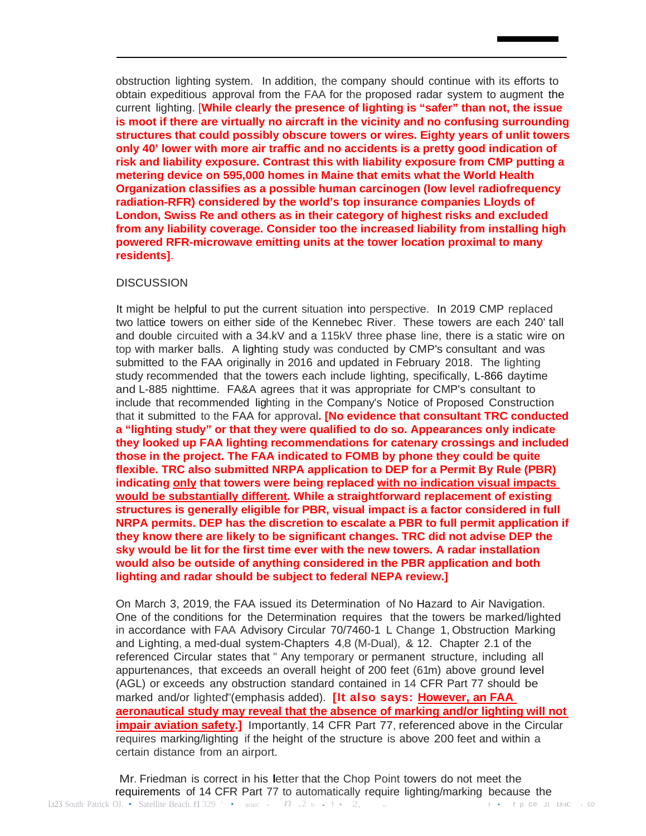obstruction lighting system. In addition, the company should continue with its efforts to obtain expeditious approval from the FAA for the proposed radar system to augment the current lighting. [**While clearly the presence of lighting is "safer" than not, the issue is moot if there are virtually no aircraft in the vicinity and no confusing surrounding structures that could possibly obscure towers or wires. Eighty years of unlit towers only 40' lower with more air traffic and no accidents is a pretty good indication of risk and liability exposure. Contrast this with liability exposure from CMP putting a metering device on 595,000 homes in Maine that emits what the World Health Organization classifies as a possible human carcinogen (low level radiofrequency radiation-RFR) considered by the world's top insurance companies Lloyds of London, Swiss Re and others as in their category of highest risks and excluded from any liability coverage. Consider too the increased liability from installing high powered RFR-microwave emitting units at the tower location proximal to many residents]**.

## **DISCUSSION**

It might be helpful to put the current situation into perspective. In 2019 CMP replaced two lattice towers on either side of the Kennebec River. These towers are each 240' tall and double circuited with a 34.kV and a 115kV three phase line, there is a static wire on top with marker balls. A lighting study was conducted by CMP's consultant and was submitted to the FAA originally in 2016 and updated in February 2018. The lighting study recommended that the towers each include lighting, specifically, L-866 daytime and L-885 nighttime. FA&A agrees that it was appropriate for CMP's consultant to include that recommended lighting in the Company's Notice of Proposed Construction that it submitted to the FAA for approval**. [No evidence that consultant TRC conducted a "lighting study" or that they were qualified to do so. Appearances only indicate they looked up FAA lighting recommendations for catenary crossings and included those in the project. The FAA indicated to FOMB by phone they could be quite flexible. TRC also submitted NRPA application to DEP for a Permit By Rule (PBR) indicating only that towers were being replaced with no indication visual impacts would be substantially different. While a straightforward replacement of existing structures is generally eligible for PBR, visual impact is a factor considered in full NRPA permits. DEP has the discretion to escalate a PBR to full permit application if they know there are likely to be significant changes. TRC did not advise DEP the sky would be lit for the first time ever with the new towers. A radar installation would also be outside of anything considered in the PBR application and both lighting and radar should be subject to federal NEPA review.]**

On March 3, 2019, the FAA issued its Determination of No Hazard to Air Navigation. One of the conditions for the Determination requires that the towers be marked/lighted in accordance with FAA Advisory Circular 70/7460-1 L Change 1, Obstruction Marking and Lighting, a med-dual system-Chapters 4,8 (M-Dual), & 12. Chapter 2.1 of the referenced Circular states that " Any temporary or permanent structure, including all appurtenances, that exceeds an overall height of 200 feet (61m) above ground level (AGL) or exceeds any obstruction standard contained in 14 CFR Part 77 should be marked and/or lighted"(emphasis added). **[It also says: However, an FAA aeronautical study may reveal that the absence of marking and/or lighting will not impair aviation safety.]** Importantly, 14 CFR Part 77, referenced above in the Circular requires marking/lighting if the height of the structure is above 200 feet and within a certain distance from an airport.

l.t23 South Patrick OJ. • Satellite Beach.fl 329 ' • IIOIIC • *n* .2 b • f • 2, <sup>v</sup> **1 • r p ce ,11 IJ:tC c: co** Mr. Friedman is correct in his letter that the Chop Point towers do not meet the requirements of 14 CFR Part 77 to automatically require lighting/marking because the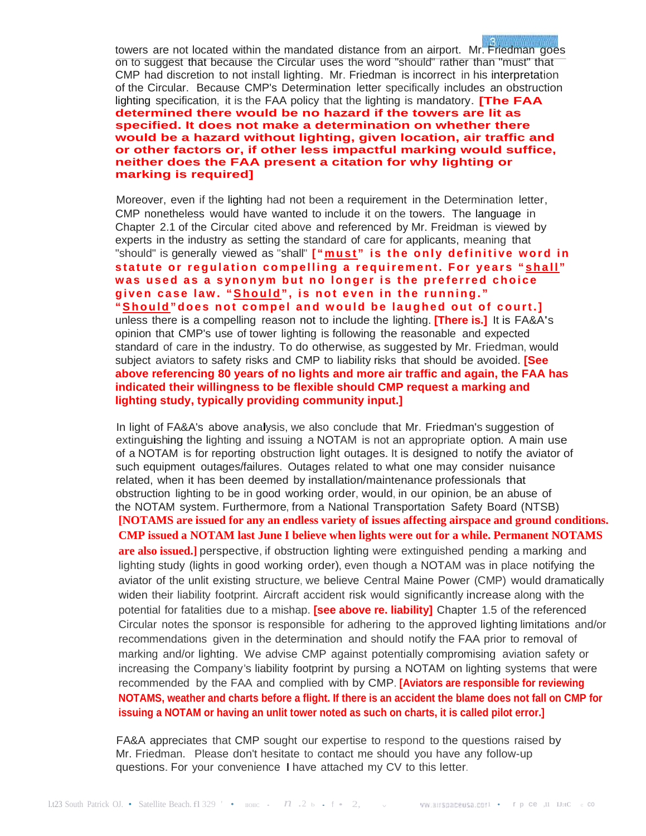towers are not located within the mandated distance from an airport. Mr. Friedman goes on to suggest that because the Circular uses the word "should" rather than "must" that CMP had discretion to not install lighting. Mr. Friedman is incorrect in his interpretation of the Circular. Because CMP's Determination letter specifically includes an obstruction lighting specification, it is the FAA policy that the lighting is mandatory. **[The FAA determined there would be no hazard if the towers are lit as specified. It does not make a determination on whether there would be a hazard without lighting, given location, air traffic and or other factors or, if other less impactful marking would suffice, neither does the FAA present a citation for why lighting or marking is required]**

۵

Moreover, even if the lighting had not been a requirement in the Determination letter, CMP nonetheless would have wanted to include it on the towers. The language in Chapter 2.1 of the Circular cited above and referenced by Mr. Freidman is viewed by experts in the industry as setting the standard of care for applicants, meaning that "should" is generally viewed as "shall" **[ "must " is the only definitive word in statute or regulation compelling a requirement. For years " shall " was used as a synonym but no longer is the preferred choice given case law . "Should", is not even in the running." "Should"does not compel and would be laughed out of court.]** unless there is a compelling reason not to include the lighting. **[There is.]** It is FA&A's opinion that CMP's use of tower lighting is following the reasonable and expected standard of care in the industry. To do otherwise, as suggested by Mr. Friedman, would subject aviators to safety risks and CMP to liability risks that should be avoided. **[See above referencing 80 years of no lights and more air traffic and again, the FAA has indicated their willingness to be flexible should CMP request a marking and lighting study, typically providing community input.]**

In light of FA&A's above analysis, we also conclude that Mr. Friedman's suggestion of extinguishing the lighting and issuing <sup>a</sup> NOTAM is not an appropriate option. <sup>A</sup> main use of a NOTAM is for reporting obstruction light outages. It is designed to notify the aviator of such equipment outages/failures. Outages related to what one may consider nuisance related, when it has been deemed by installation/maintenance professionals that obstruction lighting to be in good working order, would, in our opinion, be an abuse of the NOTAM system. Furthermore, from a National Transportation Safety Board (NTSB) **[NOTAMS are issued for any an endless variety of issues affecting airspace and ground conditions. CMP issued a NOTAM last June I believe when lights were out for a while. Permanent NOTAMS are also issued.]** perspective, if obstruction lighting were extinguished pending a marking and lighting study (lights in good working order), even though a NOTAM was in place notifying the aviator of the unlit existing structure, we believe Central Maine Power (CMP) would dramatically widen their liability footprint. Aircraft accident risk would significantly increase along with the potential for fatalities due to a mishap. **[see above re. liability]** Chapter 1.5 of the referenced Circular notes the sponsor is responsible for adhering to the approved lighting limitations and/or recommendations given in the determination and should notify the FAA prior to removal of marking and/or lighting. We advise CMP against potentially compromising aviation safety or increasing the Company's liability footprint by pursing a NOTAM on lighting systems that were recommended by the FAA and complied with by CMP. **[Aviators are responsible for reviewing NOTAMS, weather and charts before a flight. If there is an accident the blame does not fall on CMP for issuing a NOTAM or having an unlit tower noted as such on charts, it is called pilot error.]**

FA&A appreciates that CMP sought our expertise to respond to the questions raised by Mr. Friedman. Please don't hesitate to contact me should you have any follow-up questions. For your convenience I have attached my CV to this letter.